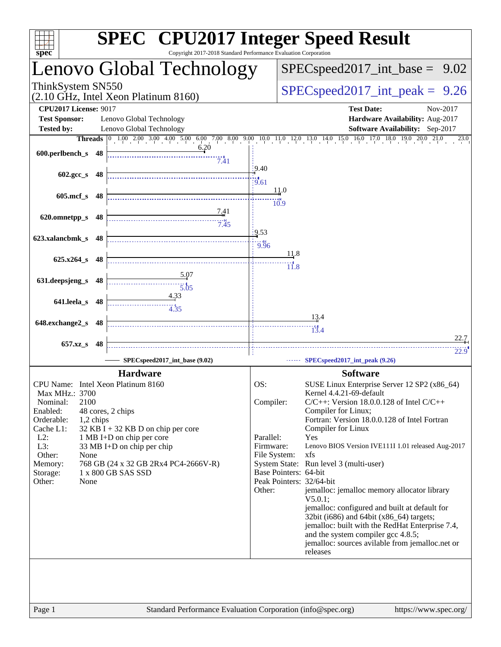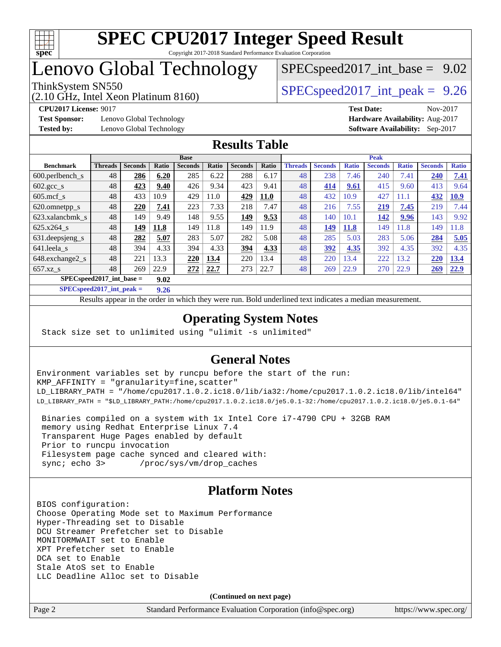

# Lenovo Global Technology

(2.10 GHz, Intel Xeon Platinum 8160)

ThinkSystem SN550  $SPEC speed2017$  int peak = 9.26  $SPECspeed2017\_int\_base = 9.02$ 

**[Test Sponsor:](http://www.spec.org/auto/cpu2017/Docs/result-fields.html#TestSponsor)** Lenovo Global Technology **[Hardware Availability:](http://www.spec.org/auto/cpu2017/Docs/result-fields.html#HardwareAvailability)** Aug-2017 **[Tested by:](http://www.spec.org/auto/cpu2017/Docs/result-fields.html#Testedby)** Lenovo Global Technology **[Software Availability:](http://www.spec.org/auto/cpu2017/Docs/result-fields.html#SoftwareAvailability)** Sep-2017

**[CPU2017 License:](http://www.spec.org/auto/cpu2017/Docs/result-fields.html#CPU2017License)** 9017 **[Test Date:](http://www.spec.org/auto/cpu2017/Docs/result-fields.html#TestDate)** Nov-2017

### **[Results Table](http://www.spec.org/auto/cpu2017/Docs/result-fields.html#ResultsTable)**

|                                    | <b>Base</b>    |                |       |                |       | <b>Peak</b>    |             |                |                |              |                |              |                |              |
|------------------------------------|----------------|----------------|-------|----------------|-------|----------------|-------------|----------------|----------------|--------------|----------------|--------------|----------------|--------------|
| <b>Benchmark</b>                   | <b>Threads</b> | <b>Seconds</b> | Ratio | <b>Seconds</b> | Ratio | <b>Seconds</b> | Ratio       | <b>Threads</b> | <b>Seconds</b> | <b>Ratio</b> | <b>Seconds</b> | <b>Ratio</b> | <b>Seconds</b> | <b>Ratio</b> |
| $600.$ perlbench $\mathsf{S}$      | 48             | 286            | 6.20  | 285            | 6.22  | 288            | 6.17        | 48             | 238            | 7.46         | 240            | 7.41         | 240            | 7.41         |
| $602.\text{gcc}\_\text{s}$         | 48             | 423            | 9.40  | 426            | 9.34  | 423            | 9.41        | 48             | 414            | 9.61         | 415            | 9.60         | 413            | 9.64         |
| $605$ .mcf s                       | 48             | 433            | 10.9  | 429            | 11.0  | 429            | <b>11.0</b> | 48             | 432            | 10.9         | 427            | 11.1         | 432            | <b>10.9</b>  |
| 620.omnetpp_s                      | 48             | 220            | 7.41  | 223            | 7.33  | 218            | 7.47        | 48             | 216            | 7.55         | 219            | 7.45         | 219            | 7.44         |
| 623.xalancbmk s                    | 48             | 149            | 9.49  | 148            | 9.55  | 149            | 9.53        | 48             | 140            | 10.1         | 142            | 9.96         | 143            | 9.92         |
| 625.x264 s                         | 48             | 149            | 11.8  | 149            | 11.8  | 149            | 11.9        | 48             | 149            | 11.8         | 149            | 11.8         | 149            | 1.8          |
| 631.deepsjeng_s                    | 48             | 282            | 5.07  | 283            | 5.07  | 282            | 5.08        | 48             | 285            | 5.03         | 283            | 5.06         | 284            | 5.05         |
| 641.leela s                        | 48             | 394            | 4.33  | 394            | 4.33  | 394            | 4.33        | 48             | 392            | 4.35         | 392            | 4.35         | 392            | 4.35         |
| 648.exchange2_s                    | 48             | 221            | 13.3  | 220            | 13.4  | 220            | 13.4        | 48             | 220            | 13.4         | 222            | 13.2         | 220            | 13.4         |
| $657.xz$ s                         | 48             | 269            | 22.9  | <u> 272</u>    | 22.7  | 273            | 22.7        | 48             | 269            | 22.9         | 270            | 22.9         | 269            | 22.9         |
| $SPECspeed2017$ int base =<br>9.02 |                |                |       |                |       |                |             |                |                |              |                |              |                |              |

**[SPECspeed2017\\_int\\_peak =](http://www.spec.org/auto/cpu2017/Docs/result-fields.html#SPECspeed2017intpeak) 9.26**

Results appear in the [order in which they were run.](http://www.spec.org/auto/cpu2017/Docs/result-fields.html#RunOrder) Bold underlined text [indicates a median measurement](http://www.spec.org/auto/cpu2017/Docs/result-fields.html#Median).

### **[Operating System Notes](http://www.spec.org/auto/cpu2017/Docs/result-fields.html#OperatingSystemNotes)**

Stack size set to unlimited using "ulimit -s unlimited"

### **[General Notes](http://www.spec.org/auto/cpu2017/Docs/result-fields.html#GeneralNotes)**

Environment variables set by runcpu before the start of the run: KMP\_AFFINITY = "granularity=fine,scatter" LD\_LIBRARY\_PATH = "/home/cpu2017.1.0.2.ic18.0/lib/ia32:/home/cpu2017.1.0.2.ic18.0/lib/intel64" LD\_LIBRARY\_PATH = "\$LD\_LIBRARY\_PATH:/home/cpu2017.1.0.2.ic18.0/je5.0.1-32:/home/cpu2017.1.0.2.ic18.0/je5.0.1-64"

 Binaries compiled on a system with 1x Intel Core i7-4790 CPU + 32GB RAM memory using Redhat Enterprise Linux 7.4 Transparent Huge Pages enabled by default Prior to runcpu invocation Filesystem page cache synced and cleared with: sync; echo 3> /proc/sys/vm/drop\_caches

### **[Platform Notes](http://www.spec.org/auto/cpu2017/Docs/result-fields.html#PlatformNotes)**

BIOS configuration: Choose Operating Mode set to Maximum Performance Hyper-Threading set to Disable DCU Streamer Prefetcher set to Disable MONITORMWAIT set to Enable XPT Prefetcher set to Enable DCA set to Enable Stale AtoS set to Enable LLC Deadline Alloc set to Disable

**(Continued on next page)**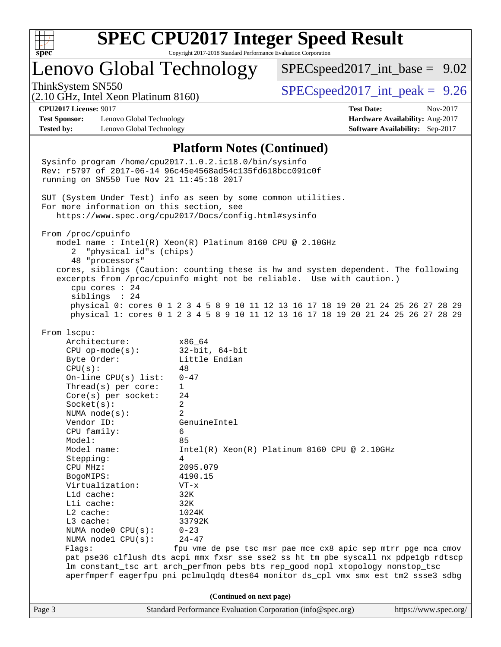

## Lenovo Global Technology

 $SPEC speed2017\_int\_base = 9.02$ 

(2.10 GHz, Intel Xeon Platinum 8160)

ThinkSystem SN550  $SPEC speed2017$  int peak = 9.26

**[Test Sponsor:](http://www.spec.org/auto/cpu2017/Docs/result-fields.html#TestSponsor)** Lenovo Global Technology **[Hardware Availability:](http://www.spec.org/auto/cpu2017/Docs/result-fields.html#HardwareAvailability)** Aug-2017 **[Tested by:](http://www.spec.org/auto/cpu2017/Docs/result-fields.html#Testedby)** Lenovo Global Technology **[Software Availability:](http://www.spec.org/auto/cpu2017/Docs/result-fields.html#SoftwareAvailability)** Sep-2017

**[CPU2017 License:](http://www.spec.org/auto/cpu2017/Docs/result-fields.html#CPU2017License)** 9017 **[Test Date:](http://www.spec.org/auto/cpu2017/Docs/result-fields.html#TestDate)** Nov-2017

### **[Platform Notes \(Continued\)](http://www.spec.org/auto/cpu2017/Docs/result-fields.html#PlatformNotes)**

Page 3 Standard Performance Evaluation Corporation [\(info@spec.org\)](mailto:info@spec.org) <https://www.spec.org/> Sysinfo program /home/cpu2017.1.0.2.ic18.0/bin/sysinfo Rev: r5797 of 2017-06-14 96c45e4568ad54c135fd618bcc091c0f running on SN550 Tue Nov 21 11:45:18 2017 SUT (System Under Test) info as seen by some common utilities. For more information on this section, see <https://www.spec.org/cpu2017/Docs/config.html#sysinfo> From /proc/cpuinfo model name : Intel(R) Xeon(R) Platinum 8160 CPU @ 2.10GHz 2 "physical id"s (chips) 48 "processors" cores, siblings (Caution: counting these is hw and system dependent. The following excerpts from /proc/cpuinfo might not be reliable. Use with caution.) cpu cores : 24 siblings : 24 physical 0: cores 0 1 2 3 4 5 8 9 10 11 12 13 16 17 18 19 20 21 24 25 26 27 28 29 physical 1: cores 0 1 2 3 4 5 8 9 10 11 12 13 16 17 18 19 20 21 24 25 26 27 28 29 From lscpu: Architecture: x86\_64 CPU op-mode(s): 32-bit, 64-bit Byte Order: Little Endian  $CPU(s):$  48 On-line CPU(s) list: 0-47 Thread(s) per core: 1 Core(s) per socket: 24 Socket(s): 2 NUMA node(s): 2 Vendor ID: GenuineIntel CPU family: 6 Model: 85 Model name: Intel(R) Xeon(R) Platinum 8160 CPU @ 2.10GHz Stepping: 4 CPU MHz: 2095.079 BogoMIPS: 4190.15 Virtualization: VT-x L1d cache: 32K L1i cache: 32K L2 cache: 1024K L3 cache: 33792K NUMA node0 CPU(s): 0-23 NUMA node1 CPU(s): 24-47 Flags: fpu vme de pse tsc msr pae mce cx8 apic sep mtrr pge mca cmov pat pse36 clflush dts acpi mmx fxsr sse sse2 ss ht tm pbe syscall nx pdpe1gb rdtscp lm constant\_tsc art arch\_perfmon pebs bts rep\_good nopl xtopology nonstop\_tsc aperfmperf eagerfpu pni pclmulqdq dtes64 monitor ds\_cpl vmx smx est tm2 ssse3 sdbg **(Continued on next page)**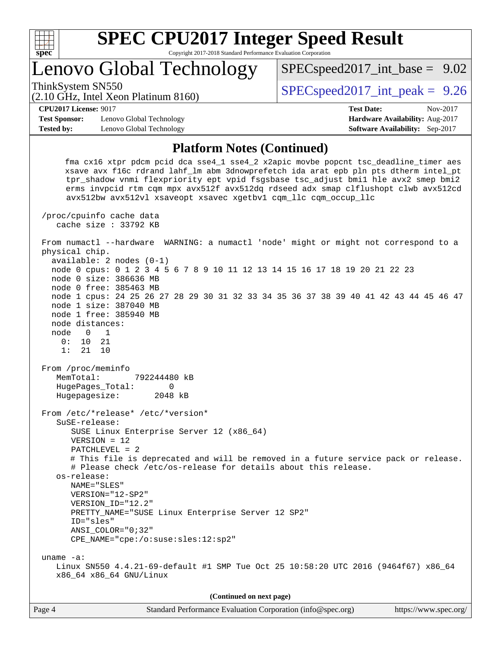

## Lenovo Global Technology

ThinkSystem SN550  $SPEC speed2017$  int peak = 9.26

 $SPEC speed2017\_int\_base = 9.02$ 

### (2.10 GHz, Intel Xeon Platinum 8160)

**[CPU2017 License:](http://www.spec.org/auto/cpu2017/Docs/result-fields.html#CPU2017License)** 9017 **[Test Date:](http://www.spec.org/auto/cpu2017/Docs/result-fields.html#TestDate)** Nov-2017

**[Test Sponsor:](http://www.spec.org/auto/cpu2017/Docs/result-fields.html#TestSponsor)** Lenovo Global Technology **[Hardware Availability:](http://www.spec.org/auto/cpu2017/Docs/result-fields.html#HardwareAvailability)** Aug-2017 **[Tested by:](http://www.spec.org/auto/cpu2017/Docs/result-fields.html#Testedby)** Lenovo Global Technology **[Software Availability:](http://www.spec.org/auto/cpu2017/Docs/result-fields.html#SoftwareAvailability)** Sep-2017

### **[Platform Notes \(Continued\)](http://www.spec.org/auto/cpu2017/Docs/result-fields.html#PlatformNotes)**

 fma cx16 xtpr pdcm pcid dca sse4\_1 sse4\_2 x2apic movbe popcnt tsc\_deadline\_timer aes xsave avx f16c rdrand lahf\_lm abm 3dnowprefetch ida arat epb pln pts dtherm intel\_pt tpr\_shadow vnmi flexpriority ept vpid fsgsbase tsc\_adjust bmi1 hle avx2 smep bmi2 erms invpcid rtm cqm mpx avx512f avx512dq rdseed adx smap clflushopt clwb avx512cd avx512bw avx512vl xsaveopt xsavec xgetbv1 cqm\_llc cqm\_occup\_llc

 /proc/cpuinfo cache data cache size : 33792 KB

 From numactl --hardware WARNING: a numactl 'node' might or might not correspond to a physical chip. available: 2 nodes (0-1)

 node 0 cpus: 0 1 2 3 4 5 6 7 8 9 10 11 12 13 14 15 16 17 18 19 20 21 22 23 node 0 size: 386636 MB

node 0 free: 385463 MB

 node 1 cpus: 24 25 26 27 28 29 30 31 32 33 34 35 36 37 38 39 40 41 42 43 44 45 46 47 node 1 size: 387040 MB node 1 free: 385940 MB

 node distances: node 0 1

 0: 10 21 1: 21 10

From /proc/meminfo

 MemTotal: 792244480 kB HugePages\_Total: 0 Hugepagesize: 2048 kB

 From /etc/\*release\* /etc/\*version\* SuSE-release:

 SUSE Linux Enterprise Server 12 (x86\_64) VERSION = 12

PATCHLEVEL = 2

 # This file is deprecated and will be removed in a future service pack or release. # Please check /etc/os-release for details about this release.

 os-release: NAME="SLES" VERSION="12-SP2"

VERSION\_ID="12.2"

 PRETTY\_NAME="SUSE Linux Enterprise Server 12 SP2" ID="sles"

 ANSI\_COLOR="0;32" CPE\_NAME="cpe:/o:suse:sles:12:sp2"

 uname -a: Linux SN550 4.4.21-69-default #1 SMP Tue Oct 25 10:58:20 UTC 2016 (9464f67) x86\_64 x86\_64 x86\_64 GNU/Linux

**(Continued on next page)**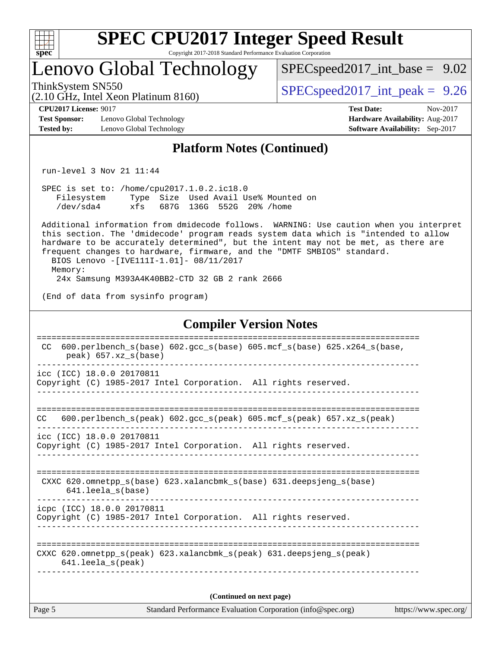

## Lenovo Global Technology

 $SPECspeed2017\_int\_base = 9.02$ 

(2.10 GHz, Intel Xeon Platinum 8160)

ThinkSystem SN550  $SPEC speed2017$  int peak = 9.26

**[Test Sponsor:](http://www.spec.org/auto/cpu2017/Docs/result-fields.html#TestSponsor)** Lenovo Global Technology **[Hardware Availability:](http://www.spec.org/auto/cpu2017/Docs/result-fields.html#HardwareAvailability)** Aug-2017 **[Tested by:](http://www.spec.org/auto/cpu2017/Docs/result-fields.html#Testedby)** Lenovo Global Technology **[Software Availability:](http://www.spec.org/auto/cpu2017/Docs/result-fields.html#SoftwareAvailability)** Sep-2017

**[CPU2017 License:](http://www.spec.org/auto/cpu2017/Docs/result-fields.html#CPU2017License)** 9017 **[Test Date:](http://www.spec.org/auto/cpu2017/Docs/result-fields.html#TestDate)** Nov-2017

### **[Platform Notes \(Continued\)](http://www.spec.org/auto/cpu2017/Docs/result-fields.html#PlatformNotes)**

run-level 3 Nov 21 11:44

 SPEC is set to: /home/cpu2017.1.0.2.ic18.0 Filesystem Type Size Used Avail Use% Mounted on /dev/sda4 xfs 687G 136G 552G 20% /home

 Additional information from dmidecode follows. WARNING: Use caution when you interpret this section. The 'dmidecode' program reads system data which is "intended to allow hardware to be accurately determined", but the intent may not be met, as there are frequent changes to hardware, firmware, and the "DMTF SMBIOS" standard. BIOS Lenovo -[IVE111I-1.01]- 08/11/2017 Memory:

24x Samsung M393A4K40BB2-CTD 32 GB 2 rank 2666

(End of data from sysinfo program)

### **[Compiler Version Notes](http://www.spec.org/auto/cpu2017/Docs/result-fields.html#CompilerVersionNotes)**

| 600.perlbench $s(base)$ 602.gcc $s(base)$ 605.mcf $s(base)$ 625.x264 $s(base)$<br>CC.                                      |                       |
|----------------------------------------------------------------------------------------------------------------------------|-----------------------|
| peak) 657.xz s(base)                                                                                                       |                       |
| icc (ICC) 18.0.0 20170811<br>Copyright (C) 1985-2017 Intel Corporation. All rights reserved.                               |                       |
| 600.perlbench $s$ (peak) 602.gcc $s$ (peak) 605.mcf $s$ (peak) 657.xz $s$ (peak)<br>CC.                                    |                       |
| icc (ICC) 18.0.0 20170811<br>Copyright (C) 1985-2017 Intel Corporation. All rights reserved.                               |                       |
| CXXC 620.omnetpp_s(base) 623.xalancbmk_s(base) 631.deepsjeng_s(base)<br>$641.$ leela $s(base)$                             |                       |
| icpc (ICC) 18.0.0 20170811<br>Copyright (C) 1985-2017 Intel Corporation. All rights reserved.                              |                       |
| CXXC 620.omnetpp $s(\text{peak})$ 623.xalancbmk $s(\text{peak})$ 631.deepsjeng $s(\text{peak})$<br>$641.$ leela $s$ (peak) |                       |
| (Continued on next page)                                                                                                   |                       |
| Page 5<br>Standard Performance Evaluation Corporation (info@spec.org)                                                      | https://www.spec.org/ |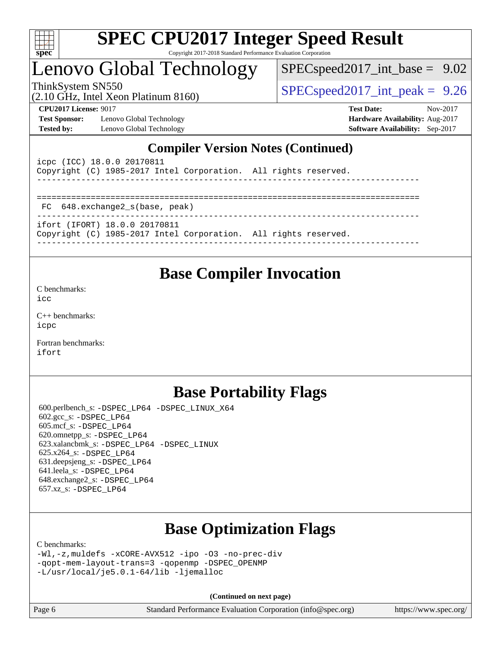

## Lenovo Global Technology

 $SPEC speed2017\_int\_base = 9.02$ 

(2.10 GHz, Intel Xeon Platinum 8160)

ThinkSystem SN550  $SPEC speed2017$  int peak = 9.26

**[Test Sponsor:](http://www.spec.org/auto/cpu2017/Docs/result-fields.html#TestSponsor)** Lenovo Global Technology **[Hardware Availability:](http://www.spec.org/auto/cpu2017/Docs/result-fields.html#HardwareAvailability)** Aug-2017 **[Tested by:](http://www.spec.org/auto/cpu2017/Docs/result-fields.html#Testedby)** Lenovo Global Technology **[Software Availability:](http://www.spec.org/auto/cpu2017/Docs/result-fields.html#SoftwareAvailability)** Sep-2017

**[CPU2017 License:](http://www.spec.org/auto/cpu2017/Docs/result-fields.html#CPU2017License)** 9017 **[Test Date:](http://www.spec.org/auto/cpu2017/Docs/result-fields.html#TestDate)** Nov-2017

### **[Compiler Version Notes \(Continued\)](http://www.spec.org/auto/cpu2017/Docs/result-fields.html#CompilerVersionNotes)**

| icpc (ICC) 18.0.0 20170811<br>Copyright (C) 1985-2017 Intel Corporation. All rights reserved.    |  |
|--------------------------------------------------------------------------------------------------|--|
| FC 648.exchange2 s(base, peak)                                                                   |  |
| ifort (IFORT) 18.0.0 20170811<br>Copyright (C) 1985-2017 Intel Corporation. All rights reserved. |  |

### **[Base Compiler Invocation](http://www.spec.org/auto/cpu2017/Docs/result-fields.html#BaseCompilerInvocation)**

[C benchmarks](http://www.spec.org/auto/cpu2017/Docs/result-fields.html#Cbenchmarks):

[icc](http://www.spec.org/cpu2017/results/res2017q4/cpu2017-20171127-01087.flags.html#user_CCbase_intel_icc_18.0_66fc1ee009f7361af1fbd72ca7dcefbb700085f36577c54f309893dd4ec40d12360134090235512931783d35fd58c0460139e722d5067c5574d8eaf2b3e37e92)

[C++ benchmarks:](http://www.spec.org/auto/cpu2017/Docs/result-fields.html#CXXbenchmarks) [icpc](http://www.spec.org/cpu2017/results/res2017q4/cpu2017-20171127-01087.flags.html#user_CXXbase_intel_icpc_18.0_c510b6838c7f56d33e37e94d029a35b4a7bccf4766a728ee175e80a419847e808290a9b78be685c44ab727ea267ec2f070ec5dc83b407c0218cded6866a35d07)

[Fortran benchmarks](http://www.spec.org/auto/cpu2017/Docs/result-fields.html#Fortranbenchmarks): [ifort](http://www.spec.org/cpu2017/results/res2017q4/cpu2017-20171127-01087.flags.html#user_FCbase_intel_ifort_18.0_8111460550e3ca792625aed983ce982f94888b8b503583aa7ba2b8303487b4d8a21a13e7191a45c5fd58ff318f48f9492884d4413fa793fd88dd292cad7027ca)

## **[Base Portability Flags](http://www.spec.org/auto/cpu2017/Docs/result-fields.html#BasePortabilityFlags)**

 600.perlbench\_s: [-DSPEC\\_LP64](http://www.spec.org/cpu2017/results/res2017q4/cpu2017-20171127-01087.flags.html#b600.perlbench_s_basePORTABILITY_DSPEC_LP64) [-DSPEC\\_LINUX\\_X64](http://www.spec.org/cpu2017/results/res2017q4/cpu2017-20171127-01087.flags.html#b600.perlbench_s_baseCPORTABILITY_DSPEC_LINUX_X64) 602.gcc\_s: [-DSPEC\\_LP64](http://www.spec.org/cpu2017/results/res2017q4/cpu2017-20171127-01087.flags.html#suite_basePORTABILITY602_gcc_s_DSPEC_LP64) 605.mcf\_s: [-DSPEC\\_LP64](http://www.spec.org/cpu2017/results/res2017q4/cpu2017-20171127-01087.flags.html#suite_basePORTABILITY605_mcf_s_DSPEC_LP64) 620.omnetpp\_s: [-DSPEC\\_LP64](http://www.spec.org/cpu2017/results/res2017q4/cpu2017-20171127-01087.flags.html#suite_basePORTABILITY620_omnetpp_s_DSPEC_LP64) 623.xalancbmk\_s: [-DSPEC\\_LP64](http://www.spec.org/cpu2017/results/res2017q4/cpu2017-20171127-01087.flags.html#suite_basePORTABILITY623_xalancbmk_s_DSPEC_LP64) [-DSPEC\\_LINUX](http://www.spec.org/cpu2017/results/res2017q4/cpu2017-20171127-01087.flags.html#b623.xalancbmk_s_baseCXXPORTABILITY_DSPEC_LINUX) 625.x264\_s: [-DSPEC\\_LP64](http://www.spec.org/cpu2017/results/res2017q4/cpu2017-20171127-01087.flags.html#suite_basePORTABILITY625_x264_s_DSPEC_LP64) 631.deepsjeng\_s: [-DSPEC\\_LP64](http://www.spec.org/cpu2017/results/res2017q4/cpu2017-20171127-01087.flags.html#suite_basePORTABILITY631_deepsjeng_s_DSPEC_LP64) 641.leela\_s: [-DSPEC\\_LP64](http://www.spec.org/cpu2017/results/res2017q4/cpu2017-20171127-01087.flags.html#suite_basePORTABILITY641_leela_s_DSPEC_LP64) 648.exchange2\_s: [-DSPEC\\_LP64](http://www.spec.org/cpu2017/results/res2017q4/cpu2017-20171127-01087.flags.html#suite_basePORTABILITY648_exchange2_s_DSPEC_LP64) 657.xz\_s: [-DSPEC\\_LP64](http://www.spec.org/cpu2017/results/res2017q4/cpu2017-20171127-01087.flags.html#suite_basePORTABILITY657_xz_s_DSPEC_LP64)

## **[Base Optimization Flags](http://www.spec.org/auto/cpu2017/Docs/result-fields.html#BaseOptimizationFlags)**

[C benchmarks](http://www.spec.org/auto/cpu2017/Docs/result-fields.html#Cbenchmarks):

```
-Wl,-z,muldefs -xCORE-AVX512 -ipo -O3 -no-prec-div
-qopt-mem-layout-trans=3 -qopenmp -DSPEC_OPENMP
-L/usr/local/je5.0.1-64/lib -ljemalloc
```
**(Continued on next page)**

| Page 6 | Standard Performance Evaluation Corporation (info@spec.org) | https://www.spec.org/ |
|--------|-------------------------------------------------------------|-----------------------|
|--------|-------------------------------------------------------------|-----------------------|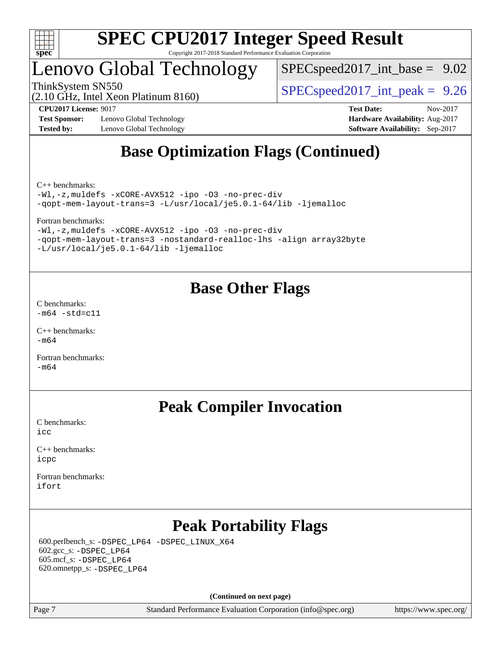

## Lenovo Global Technology

 $SPECspeed2017\_int\_base = 9.02$ 

(2.10 GHz, Intel Xeon Platinum 8160)

ThinkSystem SN550  $SPEC speed2017$  int peak = 9.26

**[Test Sponsor:](http://www.spec.org/auto/cpu2017/Docs/result-fields.html#TestSponsor)** Lenovo Global Technology **[Hardware Availability:](http://www.spec.org/auto/cpu2017/Docs/result-fields.html#HardwareAvailability)** Aug-2017 **[Tested by:](http://www.spec.org/auto/cpu2017/Docs/result-fields.html#Testedby)** Lenovo Global Technology **[Software Availability:](http://www.spec.org/auto/cpu2017/Docs/result-fields.html#SoftwareAvailability)** Sep-2017

**[CPU2017 License:](http://www.spec.org/auto/cpu2017/Docs/result-fields.html#CPU2017License)** 9017 **[Test Date:](http://www.spec.org/auto/cpu2017/Docs/result-fields.html#TestDate)** Nov-2017

## **[Base Optimization Flags \(Continued\)](http://www.spec.org/auto/cpu2017/Docs/result-fields.html#BaseOptimizationFlags)**

[C++ benchmarks:](http://www.spec.org/auto/cpu2017/Docs/result-fields.html#CXXbenchmarks)

[-Wl,-z,muldefs](http://www.spec.org/cpu2017/results/res2017q4/cpu2017-20171127-01087.flags.html#user_CXXbase_link_force_multiple1_b4cbdb97b34bdee9ceefcfe54f4c8ea74255f0b02a4b23e853cdb0e18eb4525ac79b5a88067c842dd0ee6996c24547a27a4b99331201badda8798ef8a743f577) [-xCORE-AVX512](http://www.spec.org/cpu2017/results/res2017q4/cpu2017-20171127-01087.flags.html#user_CXXbase_f-xCORE-AVX512) [-ipo](http://www.spec.org/cpu2017/results/res2017q4/cpu2017-20171127-01087.flags.html#user_CXXbase_f-ipo) [-O3](http://www.spec.org/cpu2017/results/res2017q4/cpu2017-20171127-01087.flags.html#user_CXXbase_f-O3) [-no-prec-div](http://www.spec.org/cpu2017/results/res2017q4/cpu2017-20171127-01087.flags.html#user_CXXbase_f-no-prec-div) [-qopt-mem-layout-trans=3](http://www.spec.org/cpu2017/results/res2017q4/cpu2017-20171127-01087.flags.html#user_CXXbase_f-qopt-mem-layout-trans_de80db37974c74b1f0e20d883f0b675c88c3b01e9d123adea9b28688d64333345fb62bc4a798493513fdb68f60282f9a726aa07f478b2f7113531aecce732043) [-L/usr/local/je5.0.1-64/lib](http://www.spec.org/cpu2017/results/res2017q4/cpu2017-20171127-01087.flags.html#user_CXXbase_jemalloc_link_path64_4b10a636b7bce113509b17f3bd0d6226c5fb2346b9178c2d0232c14f04ab830f976640479e5c33dc2bcbbdad86ecfb6634cbbd4418746f06f368b512fced5394) [-ljemalloc](http://www.spec.org/cpu2017/results/res2017q4/cpu2017-20171127-01087.flags.html#user_CXXbase_jemalloc_link_lib_d1249b907c500fa1c0672f44f562e3d0f79738ae9e3c4a9c376d49f265a04b9c99b167ecedbf6711b3085be911c67ff61f150a17b3472be731631ba4d0471706)

[Fortran benchmarks](http://www.spec.org/auto/cpu2017/Docs/result-fields.html#Fortranbenchmarks):

[-Wl,-z,muldefs](http://www.spec.org/cpu2017/results/res2017q4/cpu2017-20171127-01087.flags.html#user_FCbase_link_force_multiple1_b4cbdb97b34bdee9ceefcfe54f4c8ea74255f0b02a4b23e853cdb0e18eb4525ac79b5a88067c842dd0ee6996c24547a27a4b99331201badda8798ef8a743f577) [-xCORE-AVX512](http://www.spec.org/cpu2017/results/res2017q4/cpu2017-20171127-01087.flags.html#user_FCbase_f-xCORE-AVX512) [-ipo](http://www.spec.org/cpu2017/results/res2017q4/cpu2017-20171127-01087.flags.html#user_FCbase_f-ipo) [-O3](http://www.spec.org/cpu2017/results/res2017q4/cpu2017-20171127-01087.flags.html#user_FCbase_f-O3) [-no-prec-div](http://www.spec.org/cpu2017/results/res2017q4/cpu2017-20171127-01087.flags.html#user_FCbase_f-no-prec-div) [-qopt-mem-layout-trans=3](http://www.spec.org/cpu2017/results/res2017q4/cpu2017-20171127-01087.flags.html#user_FCbase_f-qopt-mem-layout-trans_de80db37974c74b1f0e20d883f0b675c88c3b01e9d123adea9b28688d64333345fb62bc4a798493513fdb68f60282f9a726aa07f478b2f7113531aecce732043) [-nostandard-realloc-lhs](http://www.spec.org/cpu2017/results/res2017q4/cpu2017-20171127-01087.flags.html#user_FCbase_f_2003_std_realloc_82b4557e90729c0f113870c07e44d33d6f5a304b4f63d4c15d2d0f1fab99f5daaed73bdb9275d9ae411527f28b936061aa8b9c8f2d63842963b95c9dd6426b8a) [-align array32byte](http://www.spec.org/cpu2017/results/res2017q4/cpu2017-20171127-01087.flags.html#user_FCbase_align_array32byte_b982fe038af199962ba9a80c053b8342c548c85b40b8e86eb3cc33dee0d7986a4af373ac2d51c3f7cf710a18d62fdce2948f201cd044323541f22fc0fffc51b6) [-L/usr/local/je5.0.1-64/lib](http://www.spec.org/cpu2017/results/res2017q4/cpu2017-20171127-01087.flags.html#user_FCbase_jemalloc_link_path64_4b10a636b7bce113509b17f3bd0d6226c5fb2346b9178c2d0232c14f04ab830f976640479e5c33dc2bcbbdad86ecfb6634cbbd4418746f06f368b512fced5394) [-ljemalloc](http://www.spec.org/cpu2017/results/res2017q4/cpu2017-20171127-01087.flags.html#user_FCbase_jemalloc_link_lib_d1249b907c500fa1c0672f44f562e3d0f79738ae9e3c4a9c376d49f265a04b9c99b167ecedbf6711b3085be911c67ff61f150a17b3472be731631ba4d0471706)

## **[Base Other Flags](http://www.spec.org/auto/cpu2017/Docs/result-fields.html#BaseOtherFlags)**

[C benchmarks](http://www.spec.org/auto/cpu2017/Docs/result-fields.html#Cbenchmarks):  $-m64$   $-std=cl1$ 

[C++ benchmarks:](http://www.spec.org/auto/cpu2017/Docs/result-fields.html#CXXbenchmarks) [-m64](http://www.spec.org/cpu2017/results/res2017q4/cpu2017-20171127-01087.flags.html#user_CXXbase_intel_intel64_18.0_af43caccfc8ded86e7699f2159af6efc7655f51387b94da716254467f3c01020a5059329e2569e4053f409e7c9202a7efc638f7a6d1ffb3f52dea4a3e31d82ab)

[Fortran benchmarks](http://www.spec.org/auto/cpu2017/Docs/result-fields.html#Fortranbenchmarks):  $-m64$ 

## **[Peak Compiler Invocation](http://www.spec.org/auto/cpu2017/Docs/result-fields.html#PeakCompilerInvocation)**

[C benchmarks](http://www.spec.org/auto/cpu2017/Docs/result-fields.html#Cbenchmarks): [icc](http://www.spec.org/cpu2017/results/res2017q4/cpu2017-20171127-01087.flags.html#user_CCpeak_intel_icc_18.0_66fc1ee009f7361af1fbd72ca7dcefbb700085f36577c54f309893dd4ec40d12360134090235512931783d35fd58c0460139e722d5067c5574d8eaf2b3e37e92)

[C++ benchmarks:](http://www.spec.org/auto/cpu2017/Docs/result-fields.html#CXXbenchmarks) [icpc](http://www.spec.org/cpu2017/results/res2017q4/cpu2017-20171127-01087.flags.html#user_CXXpeak_intel_icpc_18.0_c510b6838c7f56d33e37e94d029a35b4a7bccf4766a728ee175e80a419847e808290a9b78be685c44ab727ea267ec2f070ec5dc83b407c0218cded6866a35d07)

[Fortran benchmarks](http://www.spec.org/auto/cpu2017/Docs/result-fields.html#Fortranbenchmarks): [ifort](http://www.spec.org/cpu2017/results/res2017q4/cpu2017-20171127-01087.flags.html#user_FCpeak_intel_ifort_18.0_8111460550e3ca792625aed983ce982f94888b8b503583aa7ba2b8303487b4d8a21a13e7191a45c5fd58ff318f48f9492884d4413fa793fd88dd292cad7027ca)

## **[Peak Portability Flags](http://www.spec.org/auto/cpu2017/Docs/result-fields.html#PeakPortabilityFlags)**

 600.perlbench\_s: [-DSPEC\\_LP64](http://www.spec.org/cpu2017/results/res2017q4/cpu2017-20171127-01087.flags.html#b600.perlbench_s_peakPORTABILITY_DSPEC_LP64) [-DSPEC\\_LINUX\\_X64](http://www.spec.org/cpu2017/results/res2017q4/cpu2017-20171127-01087.flags.html#b600.perlbench_s_peakCPORTABILITY_DSPEC_LINUX_X64) 602.gcc\_s: [-DSPEC\\_LP64](http://www.spec.org/cpu2017/results/res2017q4/cpu2017-20171127-01087.flags.html#suite_peakPORTABILITY602_gcc_s_DSPEC_LP64) 605.mcf\_s: [-DSPEC\\_LP64](http://www.spec.org/cpu2017/results/res2017q4/cpu2017-20171127-01087.flags.html#suite_peakPORTABILITY605_mcf_s_DSPEC_LP64) 620.omnetpp\_s: [-DSPEC\\_LP64](http://www.spec.org/cpu2017/results/res2017q4/cpu2017-20171127-01087.flags.html#suite_peakPORTABILITY620_omnetpp_s_DSPEC_LP64)

**(Continued on next page)**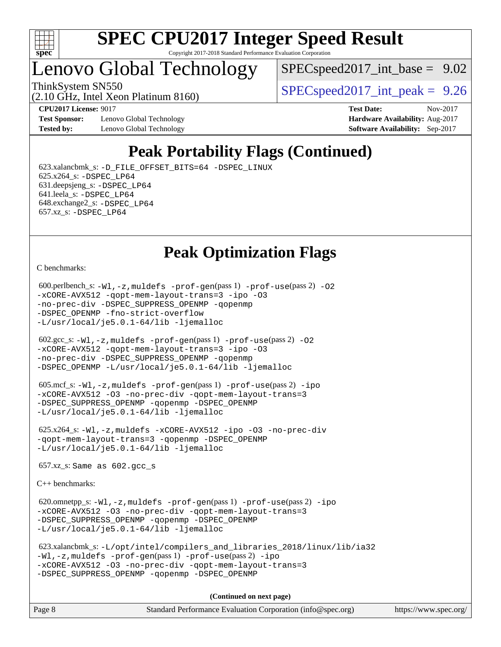

## Lenovo Global Technology

 $SPEC speed2017\_int\_base = 9.02$ 

(2.10 GHz, Intel Xeon Platinum 8160)

ThinkSystem SN550  $SPEC speed2017$  int peak = 9.26

**[Test Sponsor:](http://www.spec.org/auto/cpu2017/Docs/result-fields.html#TestSponsor)** Lenovo Global Technology **[Hardware Availability:](http://www.spec.org/auto/cpu2017/Docs/result-fields.html#HardwareAvailability)** Aug-2017 **[Tested by:](http://www.spec.org/auto/cpu2017/Docs/result-fields.html#Testedby)** Lenovo Global Technology **[Software Availability:](http://www.spec.org/auto/cpu2017/Docs/result-fields.html#SoftwareAvailability)** Sep-2017

**[CPU2017 License:](http://www.spec.org/auto/cpu2017/Docs/result-fields.html#CPU2017License)** 9017 **[Test Date:](http://www.spec.org/auto/cpu2017/Docs/result-fields.html#TestDate)** Nov-2017

## **[Peak Portability Flags \(Continued\)](http://www.spec.org/auto/cpu2017/Docs/result-fields.html#PeakPortabilityFlags)**

 623.xalancbmk\_s: [-D\\_FILE\\_OFFSET\\_BITS=64](http://www.spec.org/cpu2017/results/res2017q4/cpu2017-20171127-01087.flags.html#user_peakPORTABILITY623_xalancbmk_s_file_offset_bits_64_5ae949a99b284ddf4e95728d47cb0843d81b2eb0e18bdfe74bbf0f61d0b064f4bda2f10ea5eb90e1dcab0e84dbc592acfc5018bc955c18609f94ddb8d550002c) [-DSPEC\\_LINUX](http://www.spec.org/cpu2017/results/res2017q4/cpu2017-20171127-01087.flags.html#b623.xalancbmk_s_peakCXXPORTABILITY_DSPEC_LINUX) 625.x264\_s: [-DSPEC\\_LP64](http://www.spec.org/cpu2017/results/res2017q4/cpu2017-20171127-01087.flags.html#suite_peakPORTABILITY625_x264_s_DSPEC_LP64) 631.deepsjeng\_s: [-DSPEC\\_LP64](http://www.spec.org/cpu2017/results/res2017q4/cpu2017-20171127-01087.flags.html#suite_peakPORTABILITY631_deepsjeng_s_DSPEC_LP64) 641.leela\_s: [-DSPEC\\_LP64](http://www.spec.org/cpu2017/results/res2017q4/cpu2017-20171127-01087.flags.html#suite_peakPORTABILITY641_leela_s_DSPEC_LP64) 648.exchange2\_s: [-DSPEC\\_LP64](http://www.spec.org/cpu2017/results/res2017q4/cpu2017-20171127-01087.flags.html#suite_peakPORTABILITY648_exchange2_s_DSPEC_LP64) 657.xz\_s: [-DSPEC\\_LP64](http://www.spec.org/cpu2017/results/res2017q4/cpu2017-20171127-01087.flags.html#suite_peakPORTABILITY657_xz_s_DSPEC_LP64)

## **[Peak Optimization Flags](http://www.spec.org/auto/cpu2017/Docs/result-fields.html#PeakOptimizationFlags)**

[C benchmarks](http://www.spec.org/auto/cpu2017/Docs/result-fields.html#Cbenchmarks):

```
600.perlbench_s: -W1, -z, muldefs -prof-gen(pass 1)-prof-use(pass 2) -02
-xCORE-AVX512 -qopt-mem-layout-trans=3 -ipo -O3
-no-prec-div -DSPEC_SUPPRESS_OPENMP -qopenmp
-DSPEC_OPENMP -fno-strict-overflow
-L/usr/local/je5.0.1-64/lib -ljemalloc
 602.gcc_s: -Wl,-z,muldefs -prof-gen(pass 1) -prof-use(pass 2) -O2
-xCORE-AVX512 -qopt-mem-layout-trans=3 -ipo -O3
-no-prec-div -DSPEC_SUPPRESS_OPENMP -qopenmp
-DSPEC_OPENMP -L/usr/local/je5.0.1-64/lib -ljemalloc
 605.mcf_s: -Wl,-z,muldefs -prof-gen(pass 1) -prof-use(pass 2) -ipo
-xCORE-AVX512 -O3 -no-prec-div -qopt-mem-layout-trans=3
-DSPEC_SUPPRESS_OPENMP -qopenmp -DSPEC_OPENMP
-L/usr/local/je5.0.1-64/lib -ljemalloc
 625.x264_s: -Wl,-z,muldefs -xCORE-AVX512 -ipo -O3 -no-prec-div
-qopt-mem-layout-trans=3 -qopenmp -DSPEC_OPENMP
-L/usr/local/je5.0.1-64/lib -ljemalloc
 657.xz_s: Same as 602.gcc_s
C++ benchmarks: 
 620.omnetpp_s: -Wl,-z,muldefs -prof-gen(pass 1) -prof-use(pass 2) -ipo
-xCORE-AVX512 -O3 -no-prec-div -qopt-mem-layout-trans=3
-DSPEC_SUPPRESS_OPENMP -qopenmp -DSPEC_OPENMP
-L/usr/local/je5.0.1-64/lib -ljemalloc
 623.xalancbmk_s: -L/opt/intel/compilers_and_libraries_2018/linux/lib/ia32
-Wl,-z,muldefs -prof-gen(pass 1) -prof-use(pass 2) -ipo
-xCORE-AVX512 -O3 -no-prec-div -qopt-mem-layout-trans=3
-DSPEC_SUPPRESS_OPENMP -qopenmp -DSPEC_OPENMP
                                     (Continued on next page)
```